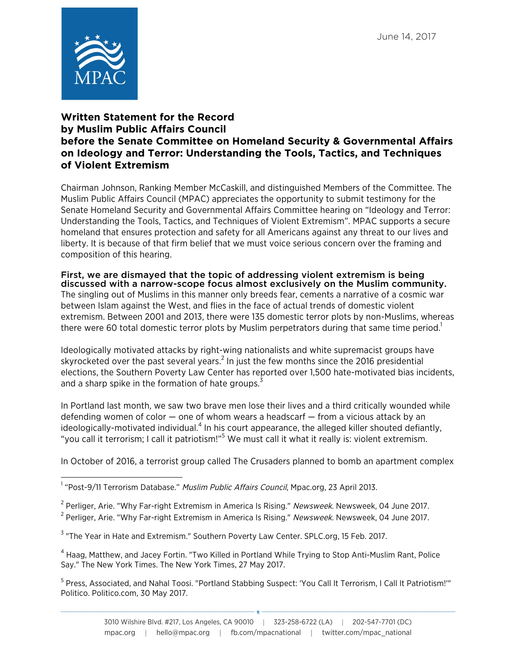

## **Written Statement for the Record by Muslim Public Affairs Council before the Senate Committee on Homeland Security & Governmental Affairs on Ideology and Terror: Understanding the Tools, Tactics, and Techniques of Violent Extremism**

Chairman Johnson, Ranking Member McCaskill, and distinguished Members of the Committee. The Muslim Public Affairs Council (MPAC) appreciates the opportunity to submit testimony for the Senate Homeland Security and Governmental Affairs Committee hearing on "Ideology and Terror: Understanding the Tools, Tactics, and Techniques of Violent Extremism". MPAC supports a secure homeland that ensures protection and safety for all Americans against any threat to our lives and liberty. It is because of that firm belief that we must voice serious concern over the framing and composition of this hearing.

## First, we are dismayed that the topic of addressing violent extremism is being discussed with a narrow-scope focus almost exclusively on the Muslim community.

The singling out of Muslims in this manner only breeds fear, cements a narrative of a cosmic war between Islam against the West, and flies in the face of actual trends of domestic violent extremism. Between 2001 and 2013, there were 135 domestic terror plots by non-Muslims, whereas there were 60 total domestic terror plots by Muslim perpetrators during that same time period.<sup>1</sup>

Ideologically motivated attacks by right-wing nationalists and white supremacist groups have skyrocketed over the past several years.<sup>2</sup> In just the few months since the 2016 presidential elections, the Southern Poverty Law Center has reported over 1,500 hate-motivated bias incidents, and a sharp spike in the formation of hate groups. $3$ 

In Portland last month, we saw two brave men lose their lives and a third critically wounded while defending women of color  $-$  one of whom wears a headscarf  $-$  from a vicious attack by an ideologically-motivated individual.<sup>4</sup> In his court appearance, the alleged killer shouted defiantly, "you call it terrorism; I call it patriotism!"<sup>5</sup> We must call it what it really is: violent extremism.

In October of 2016, a terrorist group called The Crusaders planned to bomb an apartment complex

 <sup>1</sup> "Post-9/11 Terrorism Database." Muslim Public Affairs Council, Mpac.org, 23 April 2013.

<sup>&</sup>lt;sup>2</sup> Perliger, Arie. "Why Far-right Extremism in America Is Rising." Newsweek. Newsweek, 04 June 2017.

<sup>&</sup>lt;sup>2</sup> Perliger, Arie. "Why Far-right Extremism in America Is Rising." Newsweek. Newsweek, 04 June 2017.

<sup>&</sup>lt;sup>3</sup> "The Year in Hate and Extremism." Southern Poverty Law Center. SPLC.org, 15 Feb. 2017.

<sup>4</sup> Haag, Matthew, and Jacey Fortin. "Two Killed in Portland While Trying to Stop Anti-Muslim Rant, Police Say." The New York Times. The New York Times, 27 May 2017.

<sup>&</sup>lt;sup>5</sup> Press, Associated, and Nahal Toosi. "Portland Stabbing Suspect: 'You Call It Terrorism, I Call It Patriotism!'" Politico. Politico.com, 30 May 2017.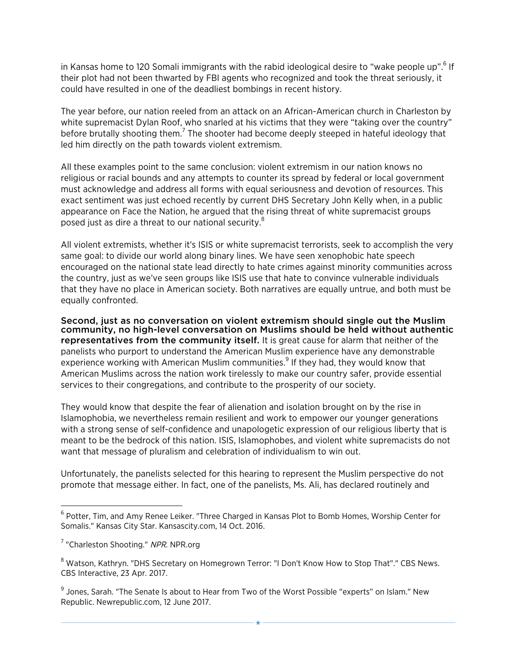in Kansas home to 120 Somali immigrants with the rabid ideological desire to "wake people up".<sup>6</sup> If their plot had not been thwarted by FBI agents who recognized and took the threat seriously, it could have resulted in one of the deadliest bombings in recent history.

The year before, our nation reeled from an attack on an African-American church in Charleston by white supremacist Dylan Roof, who snarled at his victims that they were "taking over the country" before brutally shooting them.<sup>7</sup> The shooter had become deeply steeped in hateful ideology that led him directly on the path towards violent extremism.

All these examples point to the same conclusion: violent extremism in our nation knows no religious or racial bounds and any attempts to counter its spread by federal or local government must acknowledge and address all forms with equal seriousness and devotion of resources. This exact sentiment was just echoed recently by current DHS Secretary John Kelly when, in a public appearance on Face the Nation, he argued that the rising threat of white supremacist groups posed just as dire a threat to our national security.<sup>8</sup>

All violent extremists, whether it's ISIS or white supremacist terrorists, seek to accomplish the very same goal: to divide our world along binary lines. We have seen xenophobic hate speech encouraged on the national state lead directly to hate crimes against minority communities across the country, just as we've seen groups like ISIS use that hate to convince vulnerable individuals that they have no place in American society. Both narratives are equally untrue, and both must be equally confronted.

Second, just as no conversation on violent extremism should single out the Muslim community, no high-level conversation on Muslims should be held without authentic representatives from the community itself. It is great cause for alarm that neither of the panelists who purport to understand the American Muslim experience have any demonstrable experience working with American Muslim communities. $9$  If they had, they would know that American Muslims across the nation work tirelessly to make our country safer, provide essential services to their congregations, and contribute to the prosperity of our society.

They would know that despite the fear of alienation and isolation brought on by the rise in Islamophobia, we nevertheless remain resilient and work to empower our younger generations with a strong sense of self-confidence and unapologetic expression of our religious liberty that is meant to be the bedrock of this nation. ISIS, Islamophobes, and violent white supremacists do not want that message of pluralism and celebration of individualism to win out.

Unfortunately, the panelists selected for this hearing to represent the Muslim perspective do not promote that message either. In fact, one of the panelists, Ms. Ali, has declared routinely and

 

 $6$  Potter, Tim, and Amy Renee Leiker. "Three Charged in Kansas Plot to Bomb Homes, Worship Center for Somalis." Kansas City Star. Kansascity.com, 14 Oct. 2016.

<sup>&</sup>lt;sup>7</sup> "Charleston Shooting." NPR. NPR.org

<sup>&</sup>lt;sup>8</sup> Watson, Kathryn. "DHS Secretary on Homegrown Terror: "I Don't Know How to Stop That"." CBS News. CBS Interactive, 23 Apr. 2017.

<sup>&</sup>lt;sup>9</sup> Jones. Sarah. "The Senate Is about to Hear from Two of the Worst Possible "experts" on Islam." New Republic. Newrepublic.com, 12 June 2017.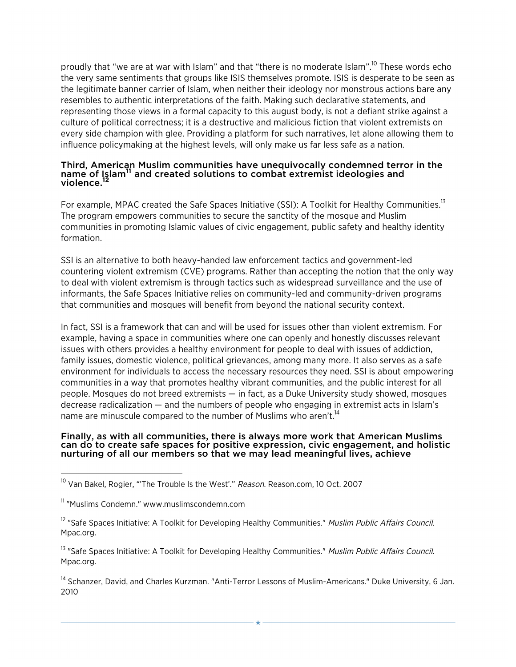proudly that "we are at war with Islam" and that "there is no moderate Islam".<sup>10</sup> These words echo the very same sentiments that groups like ISIS themselves promote. ISIS is desperate to be seen as the legitimate banner carrier of Islam, when neither their ideology nor monstrous actions bare any resembles to authentic interpretations of the faith. Making such declarative statements, and representing those views in a formal capacity to this august body, is not a defiant strike against a culture of political correctness; it is a destructive and malicious fiction that violent extremists on every side champion with glee. Providing a platform for such narratives, let alone allowing them to influence policymaking at the highest levels, will only make us far less safe as a nation.

## Third, American Muslim communities have unequivocally condemned terror in the name of Islam<sup>11</sup> and created solutions to combat extremist ideologies and violence.<sup>12</sup>

For example, MPAC created the Safe Spaces Initiative (SSI): A Toolkit for Healthy Communities.<sup>13</sup> The program empowers communities to secure the sanctity of the mosque and Muslim communities in promoting Islamic values of civic engagement, public safety and healthy identity formation.

SSI is an alternative to both heavy-handed law enforcement tactics and government-led countering violent extremism (CVE) programs. Rather than accepting the notion that the only way to deal with violent extremism is through tactics such as widespread surveillance and the use of informants, the Safe Spaces Initiative relies on community-led and community-driven programs that communities and mosques will benefit from beyond the national security context.

In fact, SSI is a framework that can and will be used for issues other than violent extremism. For example, having a space in communities where one can openly and honestly discusses relevant issues with others provides a healthy environment for people to deal with issues of addiction, family issues, domestic violence, political grievances, among many more. It also serves as a safe environment for individuals to access the necessary resources they need. SSI is about empowering communities in a way that promotes healthy vibrant communities, and the public interest for all people. Mosques do not breed extremists — in fact, as a Duke University study showed, mosques decrease radicalization — and the numbers of people who engaging in extremist acts in Islam's name are minuscule compared to the number of Muslims who aren't.<sup>14</sup>

## Finally, as with all communities, there is always more work that American Muslims can do to create safe spaces for positive expression, civic engagement, and holistic nurturing of all our members so that we may lead meaningful lives, achieve

 

<sup>13</sup> "Safe Spaces Initiative: A Toolkit for Developing Healthy Communities." Muslim Public Affairs Council. Mpac.org.

<sup>14</sup> Schanzer, David, and Charles Kurzman. "Anti-Terror Lessons of Muslim-Americans." Duke University, 6 Jan. 2010

<sup>&</sup>lt;sup>10</sup> Van Bakel, Rogier, "The Trouble Is the West'." Reason. Reason.com, 10 Oct. 2007

<sup>&</sup>lt;sup>11</sup> "Muslims Condemn." www.muslimscondemn.com

<sup>&</sup>lt;sup>12</sup> "Safe Spaces Initiative: A Toolkit for Developing Healthy Communities." Muslim Public Affairs Council. Mpac.org.